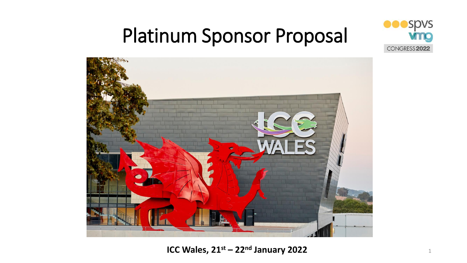

### Platinum Sponsor Proposal



**ICC Wales, 21<sup>st</sup> – 22<sup>nd</sup> January 2022 Example 2018** 1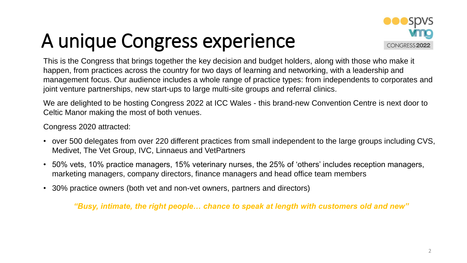### A unique Congress experience



This is the Congress that brings together the key decision and budget holders, along with those who make it happen, from practices across the country for two days of learning and networking, with a leadership and management focus. Our audience includes a whole range of practice types: from independents to corporates and joint venture partnerships, new start-ups to large multi-site groups and referral clinics.

We are delighted to be hosting Congress 2022 at ICC Wales - this brand-new Convention Centre is next door to Celtic Manor making the most of both venues.

Congress 2020 attracted:

- over 500 delegates from over 220 different practices from small independent to the large groups including CVS, Medivet, The Vet Group, IVC, Linnaeus and VetPartners
- 50% vets, 10% practice managers, 15% veterinary nurses, the 25% of 'others' includes reception managers, marketing managers, company directors, finance managers and head office team members
- 30% practice owners (both vet and non-vet owners, partners and directors)

*"Busy, intimate, the right people… chance to speak at length with customers old and new"*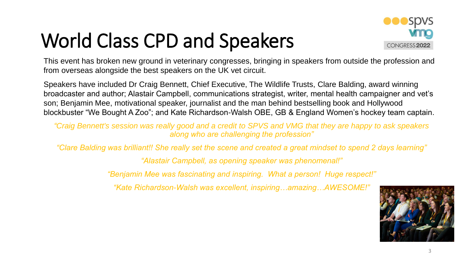### World Class CPD and Speakers



This event has broken new ground in veterinary congresses, bringing in speakers from outside the profession and from overseas alongside the best speakers on the UK vet circuit.

Speakers have included Dr Craig Bennett, Chief Executive, The Wildlife Trusts, Clare Balding, award winning broadcaster and author; Alastair Campbell, communications strategist, writer, mental health campaigner and vet's son; Benjamin Mee, motivational speaker, journalist and the man behind bestselling book and Hollywood blockbuster "We Bought A Zoo"; and Kate Richardson-Walsh OBE, GB & England Women's hockey team captain.

*"Craig Bennett's session was really good and a credit to SPVS and VMG that they are happy to ask speakers along who are challenging the profession"*

*"Clare Balding was brilliant!! She really set the scene and created a great mindset to spend 2 days learning"*

*"Alastair Campbell, as opening speaker was phenomenal!"*

*"Benjamin Mee was fascinating and inspiring. What a person! Huge respect!"*

*"Kate Richardson-Walsh was excellent, inspiring…amazing…AWESOME!"*

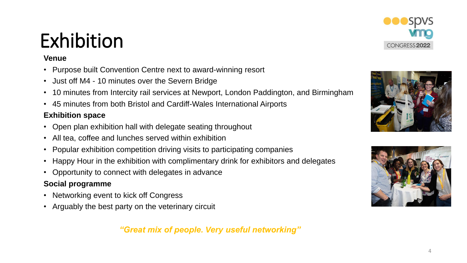### Exhibition

#### **Venue**

- Purpose built Convention Centre next to award-winning resort
- Just off M4 10 minutes over the Severn Bridge
- 10 minutes from Intercity rail services at Newport, London Paddington, and Birmingham
- 45 minutes from both Bristol and Cardiff-Wales International Airports

#### **Exhibition space**

- Open plan exhibition hall with delegate seating throughout
- All tea, coffee and lunches served within exhibition
- Popular exhibition competition driving visits to participating companies
- Happy Hour in the exhibition with complimentary drink for exhibitors and delegates
- Opportunity to connect with delegates in advance

#### **Social programme**

- Networking event to kick off Congress
- Arguably the best party on the veterinary circuit

### *"Great mix of people. Very useful networking"*





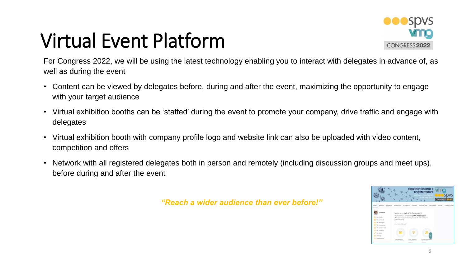## Virtual Event Platform



For Congress 2022, we will be using the latest technology enabling you to interact with delegates in advance of, as well as during the event

- Content can be viewed by delegates before, during and after the event, maximizing the opportunity to engage with your target audience
- Virtual exhibition booths can be 'staffed' during the event to promote your company, drive traffic and engage with delegates
- Virtual exhibition booth with company profile logo and website link can also be uploaded with video content, competition and offers
- Network with all registered delegates both in person and remotely (including discussion groups and meet ups), before during and after the event

*"Reach a wider audience than ever before!"*

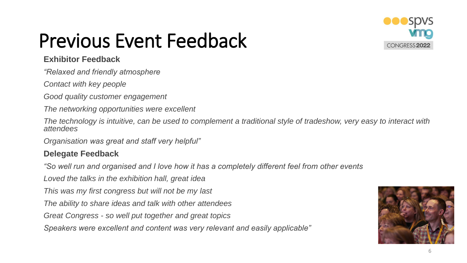

### Previous Event Feedback

#### **Exhibitor Feedback**

*"Relaxed and friendly atmosphere*

*Contact with key people*

*Good quality customer engagement*

*The networking opportunities were excellent*

*The technology is intuitive, can be used to complement a traditional style of tradeshow, very easy to interact with attendees*

*Organisation was great and staff very helpful"*

### **Delegate Feedback**

*"So well run and organised and I love how it has a completely different feel from other events*

*Loved the talks in the exhibition hall, great idea*

*This was my first congress but will not be my last*

*The ability to share ideas and talk with other attendees*

*Great Congress - so well put together and great topics*

*Speakers were excellent and content was very relevant and easily applicable"*

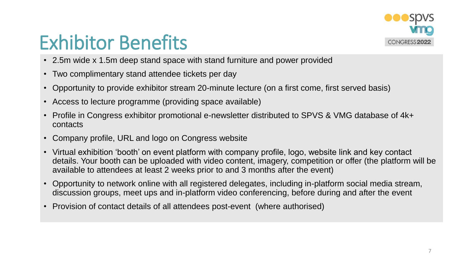

### Exhibitor Benefits

- 2.5m wide x 1.5m deep stand space with stand furniture and power provided
- Two complimentary stand attendee tickets per day
- Opportunity to provide exhibitor stream 20-minute lecture (on a first come, first served basis)
- Access to lecture programme (providing space available)
- Profile in Congress exhibitor promotional e-newsletter distributed to SPVS & VMG database of 4k+ contacts
- Company profile, URL and logo on Congress website
- Virtual exhibition 'booth' on event platform with company profile, logo, website link and key contact details. Your booth can be uploaded with video content, imagery, competition or offer (the platform will be available to attendees at least 2 weeks prior to and 3 months after the event)
- Opportunity to network online with all registered delegates, including in-platform social media stream, discussion groups, meet ups and in-platform video conferencing, before during and after the event
- Provision of contact details of all attendees post-event (where authorised)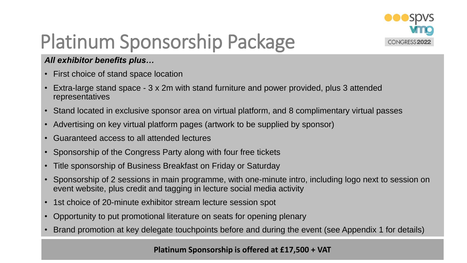

## Platinum Sponsorship Package

### *All exhibitor benefits plus…*

- First choice of stand space location
- Extra-large stand space 3 x 2m with stand furniture and power provided, plus 3 attended representatives
- Stand located in exclusive sponsor area on virtual platform, and 8 complimentary virtual passes
- Advertising on key virtual platform pages (artwork to be supplied by sponsor)
- Guaranteed access to all attended lectures
- Sponsorship of the Congress Party along with four free tickets
- Title sponsorship of Business Breakfast on Friday or Saturday
- Sponsorship of 2 sessions in main programme, with one-minute intro, including logo next to session on event website, plus credit and tagging in lecture social media activity
- 1st choice of 20-minute exhibitor stream lecture session spot
- Opportunity to put promotional literature on seats for opening plenary
- Brand promotion at key delegate touchpoints before and during the event (see Appendix 1 for details)

#### **Platinum Sponsorship is offered at £17,500 + VAT**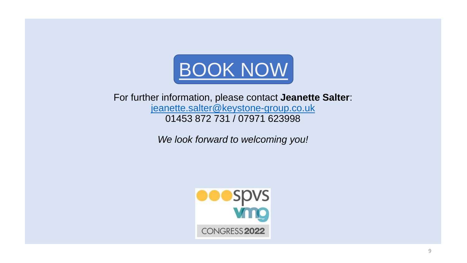

For further information, please contact **Jeanette Salter**: [jeanette.salter@keystone-group.co.uk](mailto:jeanette.salter@keystone-group.co.uk) 01453 872 731 / 07971 623998

*We look forward to welcoming you!*